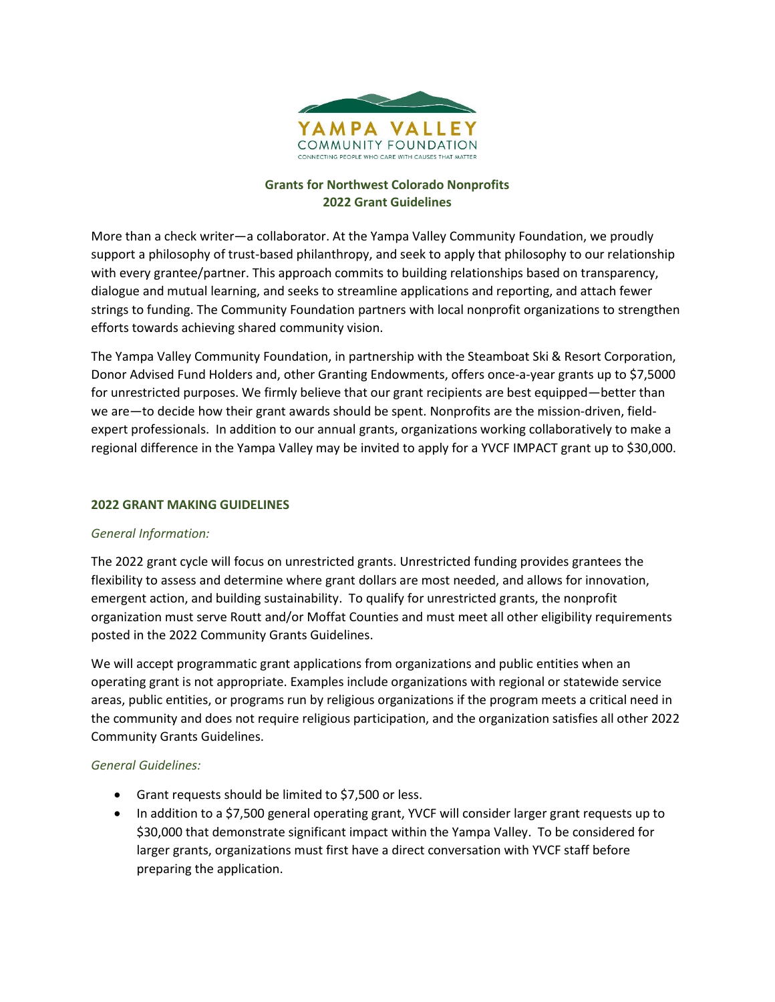

### **Grants for Northwest Colorado Nonprofits 2022 Grant Guidelines**

More than a check writer—a collaborator. At the Yampa Valley Community Foundation, we proudly support a philosophy of trust-based philanthropy, and seek to apply that philosophy to our relationship with every grantee/partner. This approach commits to building relationships based on transparency, dialogue and mutual learning, and seeks to streamline applications and reporting, and attach fewer strings to funding. The Community Foundation partners with local nonprofit organizations to strengthen efforts towards achieving shared community vision.

The Yampa Valley Community Foundation, in partnership with the Steamboat Ski & Resort Corporation, Donor Advised Fund Holders and, other Granting Endowments, offers once-a-year grants up to \$7,5000 for unrestricted purposes. We firmly believe that our grant recipients are best equipped—better than we are—to decide how their grant awards should be spent. Nonprofits are the mission-driven, fieldexpert professionals. In addition to our annual grants, organizations working collaboratively to make a regional difference in the Yampa Valley may be invited to apply for a YVCF IMPACT grant up to \$30,000.

### **2022 GRANT MAKING GUIDELINES**

### *General Information:*

The 2022 grant cycle will focus on unrestricted grants. Unrestricted funding provides grantees the flexibility to assess and determine where grant dollars are most needed, and allows for innovation, emergent action, and building sustainability. To qualify for unrestricted grants, the nonprofit organization must serve Routt and/or Moffat Counties and must meet all other eligibility requirements posted in the 2022 Community Grants Guidelines.

We will accept programmatic grant applications from organizations and public entities when an operating grant is not appropriate. Examples include organizations with regional or statewide service areas, public entities, or programs run by religious organizations if the program meets a critical need in the community and does not require religious participation, and the organization satisfies all other 2022 Community Grants Guidelines.

### *General Guidelines:*

- Grant requests should be limited to \$7,500 or less.
- In addition to a \$7,500 general operating grant, YVCF will consider larger grant requests up to \$30,000 that demonstrate significant impact within the Yampa Valley. To be considered for larger grants, organizations must first have a direct conversation with YVCF staff before preparing the application.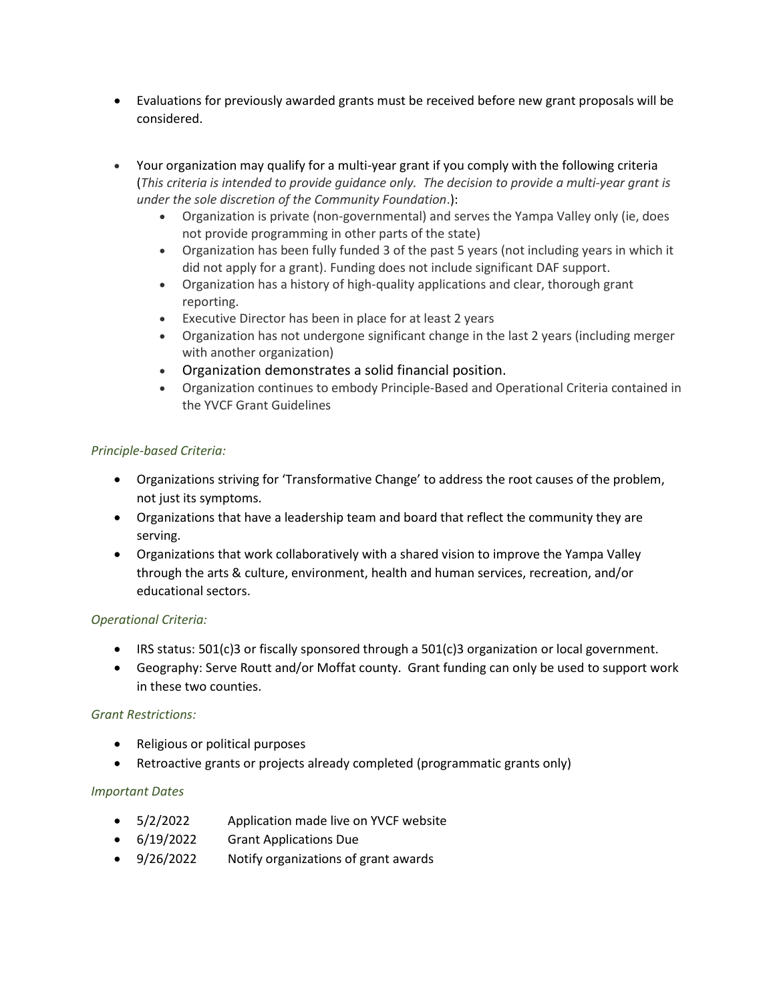- Evaluations for previously awarded grants must be received before new grant proposals will be considered.
- Your organization may qualify for a multi-year grant if you comply with the following criteria (*This criteria is intended to provide guidance only. The decision to provide a multi-year grant is under the sole discretion of the Community Foundation*.):
	- Organization is private (non-governmental) and serves the Yampa Valley only (ie, does not provide programming in other parts of the state)
	- Organization has been fully funded 3 of the past 5 years (not including years in which it did not apply for a grant). Funding does not include significant DAF support.
	- Organization has a history of high-quality applications and clear, thorough grant reporting.
	- Executive Director has been in place for at least 2 years
	- Organization has not undergone significant change in the last 2 years (including merger with another organization)
	- Organization demonstrates a solid financial position.
	- Organization continues to embody Principle-Based and Operational Criteria contained in the YVCF Grant Guidelines

# *Principle-based Criteria:*

- Organizations striving for 'Transformative Change' to address the root causes of the problem, not just its symptoms.
- Organizations that have a leadership team and board that reflect the community they are serving.
- Organizations that work collaboratively with a shared vision to improve the Yampa Valley through the arts & culture, environment, health and human services, recreation, and/or educational sectors.

# *Operational Criteria:*

- IRS status: 501(c)3 or fiscally sponsored through a 501(c)3 organization or local government.
- Geography: Serve Routt and/or Moffat county. Grant funding can only be used to support work in these two counties.

# *Grant Restrictions:*

- Religious or political purposes
- Retroactive grants or projects already completed (programmatic grants only)

# *Important Dates*

- 5/2/2022 Application made live on YVCF website
- 6/19/2022 Grant Applications Due
- 9/26/2022 Notify organizations of grant awards